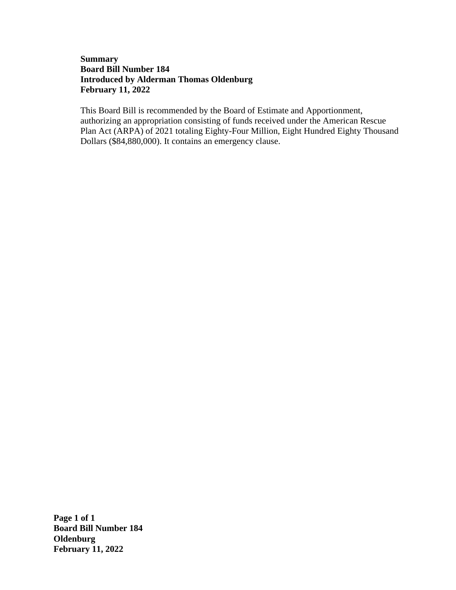## **Summary Board Bill Number 184 Introduced by Alderman Thomas Oldenburg February 11, 2022**

This Board Bill is recommended by the Board of Estimate and Apportionment, authorizing an appropriation consisting of funds received under the American Rescue Plan Act (ARPA) of 2021 totaling Eighty-Four Million, Eight Hundred Eighty Thousand Dollars (\$84,880,000). It contains an emergency clause.

**Page 1 of 1 Board Bill Number 184 Oldenburg February 11, 2022**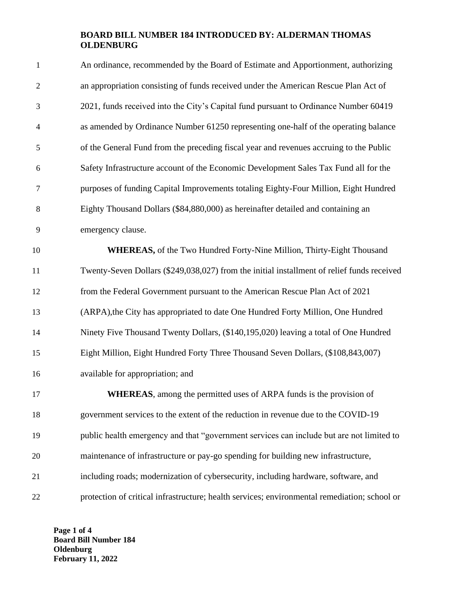## **BOARD BILL NUMBER 184 INTRODUCED BY: ALDERMAN THOMAS OLDENBURG**

| $\mathbf{1}$   | An ordinance, recommended by the Board of Estimate and Apportionment, authorizing            |
|----------------|----------------------------------------------------------------------------------------------|
| $\overline{2}$ | an appropriation consisting of funds received under the American Rescue Plan Act of          |
| 3              | 2021, funds received into the City's Capital fund pursuant to Ordinance Number 60419         |
| $\overline{4}$ | as amended by Ordinance Number 61250 representing one-half of the operating balance          |
| 5              | of the General Fund from the preceding fiscal year and revenues accruing to the Public       |
| 6              | Safety Infrastructure account of the Economic Development Sales Tax Fund all for the         |
| $\overline{7}$ | purposes of funding Capital Improvements totaling Eighty-Four Million, Eight Hundred         |
| 8              | Eighty Thousand Dollars (\$84,880,000) as hereinafter detailed and containing an             |
| 9              | emergency clause.                                                                            |
| 10             | <b>WHEREAS</b> , of the Two Hundred Forty-Nine Million, Thirty-Eight Thousand                |
| 11             | Twenty-Seven Dollars (\$249,038,027) from the initial installment of relief funds received   |
| 12             | from the Federal Government pursuant to the American Rescue Plan Act of 2021                 |
| 13             | (ARPA), the City has appropriated to date One Hundred Forty Million, One Hundred             |
| 14             | Ninety Five Thousand Twenty Dollars, (\$140,195,020) leaving a total of One Hundred          |
| 15             | Eight Million, Eight Hundred Forty Three Thousand Seven Dollars, (\$108,843,007)             |
| 16             | available for appropriation; and                                                             |
| 17             | <b>WHEREAS</b> , among the permitted uses of ARPA funds is the provision of                  |
| 18             | government services to the extent of the reduction in revenue due to the COVID-19            |
| 19             | public health emergency and that "government services can include but are not limited to     |
| 20             | maintenance of infrastructure or pay-go spending for building new infrastructure,            |
| 21             | including roads; modernization of cybersecurity, including hardware, software, and           |
| 22             | protection of critical infrastructure; health services; environmental remediation; school or |

**Page 1 of 4 Board Bill Number 184 Oldenburg February 11, 2022**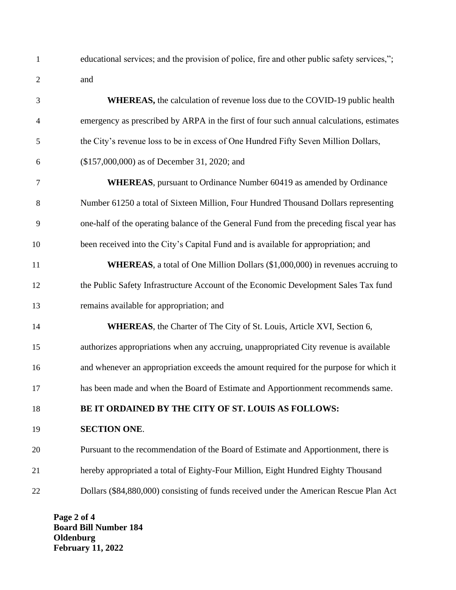educational services; and the provision of police, fire and other public safety services,"; and

| 3                        | <b>WHEREAS</b> , the calculation of revenue loss due to the COVID-19 public health       |
|--------------------------|------------------------------------------------------------------------------------------|
| $\overline{\mathcal{A}}$ | emergency as prescribed by ARPA in the first of four such annual calculations, estimates |
| 5                        | the City's revenue loss to be in excess of One Hundred Fifty Seven Million Dollars,      |
| 6                        | (\$157,000,000) as of December 31, 2020; and                                             |
| $\tau$                   | <b>WHEREAS</b> , pursuant to Ordinance Number 60419 as amended by Ordinance              |
| 8                        | Number 61250 a total of Sixteen Million, Four Hundred Thousand Dollars representing      |
| 9                        | one-half of the operating balance of the General Fund from the preceding fiscal year has |
| 10                       | been received into the City's Capital Fund and is available for appropriation; and       |
| 11                       | WHEREAS, a total of One Million Dollars (\$1,000,000) in revenues accruing to            |
| 12                       | the Public Safety Infrastructure Account of the Economic Development Sales Tax fund      |
| 13                       | remains available for appropriation; and                                                 |
| 14                       | <b>WHEREAS</b> , the Charter of The City of St. Louis, Article XVI, Section 6,           |
| 15                       | authorizes appropriations when any accruing, unappropriated City revenue is available    |
| 16                       | and whenever an appropriation exceeds the amount required for the purpose for which it   |
| 17                       | has been made and when the Board of Estimate and Apportionment recommends same.          |
| 18                       | BE IT ORDAINED BY THE CITY OF ST. LOUIS AS FOLLOWS:                                      |
| 19                       | <b>SECTION ONE.</b>                                                                      |
| 20                       | Pursuant to the recommendation of the Board of Estimate and Apportionment, there is      |
| 21                       | hereby appropriated a total of Eighty-Four Million, Eight Hundred Eighty Thousand        |
| 22                       | Dollars (\$84,880,000) consisting of funds received under the American Rescue Plan Act   |

**Page 2 of 4 Board Bill Number 184 Oldenburg February 11, 2022**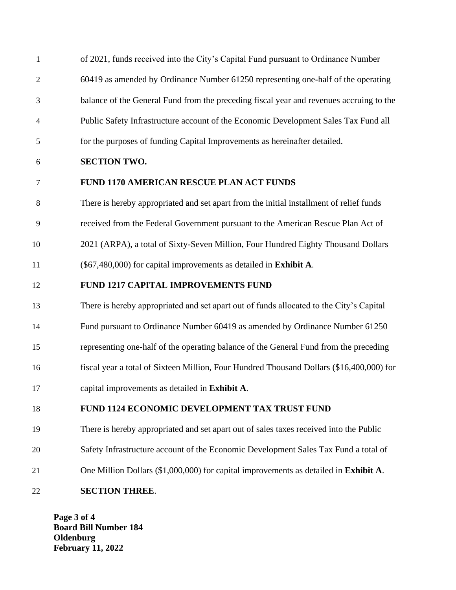| $\mathbf{1}$   | of 2021, funds received into the City's Capital Fund pursuant to Ordinance Number        |
|----------------|------------------------------------------------------------------------------------------|
| $\overline{2}$ | 60419 as amended by Ordinance Number 61250 representing one-half of the operating        |
| 3              | balance of the General Fund from the preceding fiscal year and revenues accruing to the  |
| 4              | Public Safety Infrastructure account of the Economic Development Sales Tax Fund all      |
| 5              | for the purposes of funding Capital Improvements as hereinafter detailed.                |
| 6              | <b>SECTION TWO.</b>                                                                      |
| $\tau$         | <b>FUND 1170 AMERICAN RESCUE PLAN ACT FUNDS</b>                                          |
| 8              | There is hereby appropriated and set apart from the initial installment of relief funds  |
| 9              | received from the Federal Government pursuant to the American Rescue Plan Act of         |
| 10             | 2021 (ARPA), a total of Sixty-Seven Million, Four Hundred Eighty Thousand Dollars        |
| 11             | (\$67,480,000) for capital improvements as detailed in Exhibit A.                        |
| 12             | FUND 1217 CAPITAL IMPROVEMENTS FUND                                                      |
| 13             | There is hereby appropriated and set apart out of funds allocated to the City's Capital  |
| 14             | Fund pursuant to Ordinance Number 60419 as amended by Ordinance Number 61250             |
| 15             | representing one-half of the operating balance of the General Fund from the preceding    |
| 16             | fiscal year a total of Sixteen Million, Four Hundred Thousand Dollars (\$16,400,000) for |
| 17             | capital improvements as detailed in Exhibit A.                                           |
| 18             | FUND 1124 ECONOMIC DEVELOPMENT TAX TRUST FUND                                            |
| 19             | There is hereby appropriated and set apart out of sales taxes received into the Public   |
| 20             | Safety Infrastructure account of the Economic Development Sales Tax Fund a total of      |
| 21             | One Million Dollars (\$1,000,000) for capital improvements as detailed in Exhibit A.     |
| 22             | <b>SECTION THREE.</b>                                                                    |

**Page 3 of 4 Board Bill Number 184 Oldenburg February 11, 2022**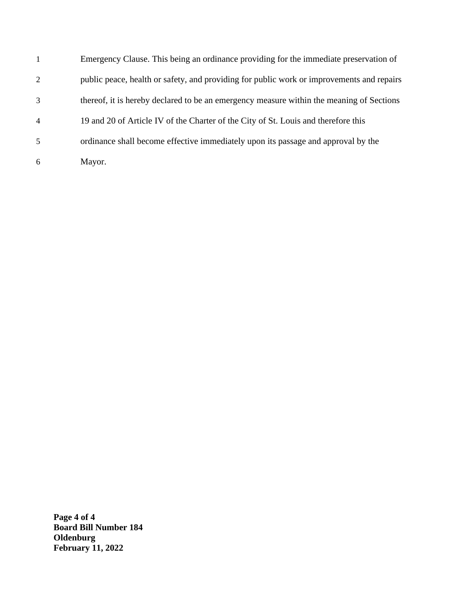|                | Emergency Clause. This being an ordinance providing for the immediate preservation of     |
|----------------|-------------------------------------------------------------------------------------------|
| $\overline{2}$ | public peace, health or safety, and providing for public work or improvements and repairs |
| 3              | thereof, it is hereby declared to be an emergency measure within the meaning of Sections  |
| $\overline{4}$ | 19 and 20 of Article IV of the Charter of the City of St. Louis and therefore this        |
| 5              | ordinance shall become effective immediately upon its passage and approval by the         |
| 6              | Mayor.                                                                                    |

**Page 4 of 4 Board Bill Number 184 Oldenburg February 11, 2022**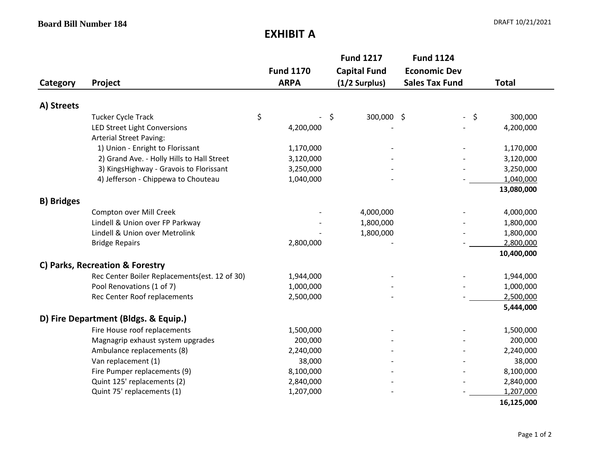## **EXHIBIT A**

| Category          | Project                                                        | <b>Fund 1170</b><br><b>ARPA</b> |           | <b>Fund 1217</b><br><b>Capital Fund</b><br>$(1/2$ Surplus) | <b>Fund 1124</b><br><b>Economic Dev</b><br><b>Sales Tax Fund</b> |      | <b>Total</b> |
|-------------------|----------------------------------------------------------------|---------------------------------|-----------|------------------------------------------------------------|------------------------------------------------------------------|------|--------------|
| A) Streets        |                                                                |                                 |           |                                                            |                                                                  |      |              |
|                   | <b>Tucker Cycle Track</b>                                      | \$                              |           | 300,000 \$<br>\$                                           |                                                                  | $-5$ | 300,000      |
|                   | LED Street Light Conversions<br><b>Arterial Street Paving:</b> |                                 | 4,200,000 |                                                            |                                                                  |      | 4,200,000    |
|                   | 1) Union - Enright to Florissant                               |                                 | 1,170,000 |                                                            |                                                                  |      | 1,170,000    |
|                   | 2) Grand Ave. - Holly Hills to Hall Street                     |                                 | 3,120,000 |                                                            |                                                                  |      | 3,120,000    |
|                   | 3) KingsHighway - Gravois to Florissant                        |                                 | 3,250,000 |                                                            |                                                                  |      | 3,250,000    |
|                   | 4) Jefferson - Chippewa to Chouteau                            |                                 | 1,040,000 |                                                            |                                                                  |      | 1,040,000    |
|                   |                                                                |                                 |           |                                                            |                                                                  |      | 13,080,000   |
| <b>B) Bridges</b> |                                                                |                                 |           |                                                            |                                                                  |      |              |
|                   | Compton over Mill Creek                                        |                                 |           | 4,000,000                                                  |                                                                  |      | 4,000,000    |
|                   | Lindell & Union over FP Parkway                                |                                 |           | 1,800,000                                                  |                                                                  |      | 1,800,000    |
|                   | Lindell & Union over Metrolink                                 |                                 |           | 1,800,000                                                  |                                                                  |      | 1,800,000    |
|                   | <b>Bridge Repairs</b>                                          |                                 | 2,800,000 |                                                            |                                                                  |      | 2,800,000    |
|                   |                                                                |                                 |           |                                                            |                                                                  |      | 10,400,000   |
|                   | C) Parks, Recreation & Forestry                                |                                 |           |                                                            |                                                                  |      |              |
|                   | Rec Center Boiler Replacements(est. 12 of 30)                  |                                 | 1,944,000 |                                                            |                                                                  |      | 1,944,000    |
|                   | Pool Renovations (1 of 7)                                      |                                 | 1,000,000 |                                                            |                                                                  |      | 1,000,000    |
|                   | Rec Center Roof replacements                                   |                                 | 2,500,000 |                                                            |                                                                  |      | 2,500,000    |
|                   |                                                                |                                 |           |                                                            |                                                                  |      | 5,444,000    |
|                   | D) Fire Department (Bldgs. & Equip.)                           |                                 |           |                                                            |                                                                  |      |              |
|                   | Fire House roof replacements                                   |                                 | 1,500,000 |                                                            |                                                                  |      | 1,500,000    |
|                   | Magnagrip exhaust system upgrades                              |                                 | 200,000   |                                                            |                                                                  |      | 200,000      |
|                   | Ambulance replacements (8)                                     |                                 | 2,240,000 |                                                            |                                                                  |      | 2,240,000    |
|                   | Van replacement (1)                                            |                                 | 38,000    |                                                            |                                                                  |      | 38,000       |
|                   | Fire Pumper replacements (9)                                   |                                 | 8,100,000 |                                                            |                                                                  |      | 8,100,000    |
|                   | Quint 125' replacements (2)                                    |                                 | 2,840,000 |                                                            |                                                                  |      | 2,840,000    |
|                   | Quint 75' replacements (1)                                     |                                 | 1,207,000 |                                                            |                                                                  |      | 1,207,000    |
|                   |                                                                |                                 |           |                                                            |                                                                  |      | 16,125,000   |